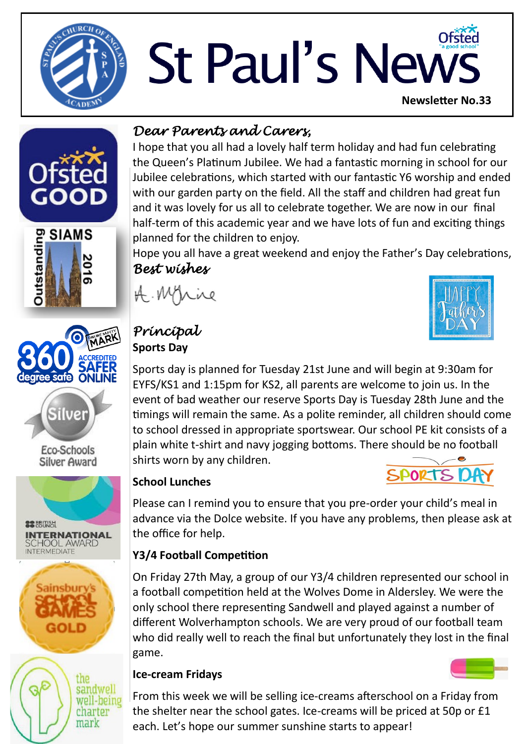

# St Paul's News **Newsletter No.33**









Eco-Schools **Silver Award** 







# *Dear Parents and Carers,*

I hope that you all had a lovely half term holiday and had fun celebrating the Queen's Platinum Jubilee. We had a fantastic morning in school for our Jubilee celebrations, which started with our fantastic Y6 worship and ended with our garden party on the field. All the staff and children had great fun and it was lovely for us all to celebrate together. We are now in our final half-term of this academic year and we have lots of fun and exciting things planned for the children to enjoy.

Hope you all have a great weekend and enjoy the Father's Day celebrations, *Best wishes* 

A. Myrice

# *Principal*  **Sports Day**

Sports day is planned for Tuesday 21st June and will begin at 9:30am for EYFS/KS1 and 1:15pm for KS2, all parents are welcome to join us. In the event of bad weather our reserve Sports Day is Tuesday 28th June and the timings will remain the same. As a polite reminder, all children should come to school dressed in appropriate sportswear. Our school PE kit consists of a plain white t-shirt and navy jogging bottoms. There should be no football shirts worn by any children. **SPORTS DA** 

#### **School Lunches**

Please can I remind you to ensure that you pre-order your child's meal in advance via the Dolce website. If you have any problems, then please ask at the office for help.

## **Y3/4 Football Competition**

On Friday 27th May, a group of our Y3/4 children represented our school in a football competition held at the Wolves Dome in Aldersley. We were the only school there representing Sandwell and played against a number of different Wolverhampton schools. We are very proud of our football team who did really well to reach the final but unfortunately they lost in the final game.

### **Ice-cream Fridays**

From this week we will be selling ice-creams afterschool on a Friday from the shelter near the school gates. Ice-creams will be priced at 50p or £1 each. Let's hope our summer sunshine starts to appear!